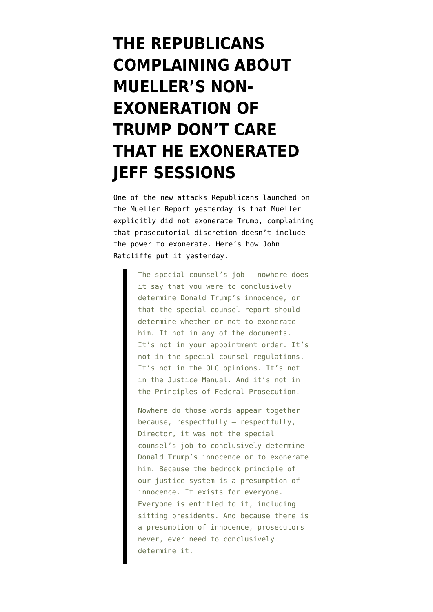## **[THE REPUBLICANS](https://www.emptywheel.net/2019/07/25/the-republicans-complaining-about-muellers-exoneration-dont-care-that-he-exonerated-jeff-sessions/) [COMPLAINING ABOUT](https://www.emptywheel.net/2019/07/25/the-republicans-complaining-about-muellers-exoneration-dont-care-that-he-exonerated-jeff-sessions/) [MUELLER'S NON-](https://www.emptywheel.net/2019/07/25/the-republicans-complaining-about-muellers-exoneration-dont-care-that-he-exonerated-jeff-sessions/)[EXONERATION OF](https://www.emptywheel.net/2019/07/25/the-republicans-complaining-about-muellers-exoneration-dont-care-that-he-exonerated-jeff-sessions/) [TRUMP DON'T CARE](https://www.emptywheel.net/2019/07/25/the-republicans-complaining-about-muellers-exoneration-dont-care-that-he-exonerated-jeff-sessions/) [THAT HE EXONERATED](https://www.emptywheel.net/2019/07/25/the-republicans-complaining-about-muellers-exoneration-dont-care-that-he-exonerated-jeff-sessions/) [JEFF SESSIONS](https://www.emptywheel.net/2019/07/25/the-republicans-complaining-about-muellers-exoneration-dont-care-that-he-exonerated-jeff-sessions/)**

One of the new attacks Republicans launched on the Mueller Report yesterday is that Mueller explicitly did not exonerate Trump, complaining that prosecutorial discretion doesn't include the power to exonerate. Here's how John Ratcliffe [put it yesterday.](https://www.washingtonpost.com/politics/transcript-of-robert-s-mueller-iiis-testimony-before-the-house-judiciary-committee/2019/07/24/7164abfe-ad96-11e9-a0c9-6d2d7818f3da_story.html)

> The special counsel's job — nowhere does it say that you were to conclusively determine Donald Trump's innocence, or that the special counsel report should determine whether or not to exonerate him. It not in any of the documents. It's not in your appointment order. It's not in the special counsel regulations. It's not in the OLC opinions. It's not in the Justice Manual. And it's not in the Principles of Federal Prosecution.

> Nowhere do those words appear together because, respectfully — respectfully, Director, it was not the special counsel's job to conclusively determine Donald Trump's innocence or to exonerate him. Because the bedrock principle of our justice system is a presumption of innocence. It exists for everyone. Everyone is entitled to it, including sitting presidents. And because there is a presumption of innocence, prosecutors never, ever need to conclusively determine it.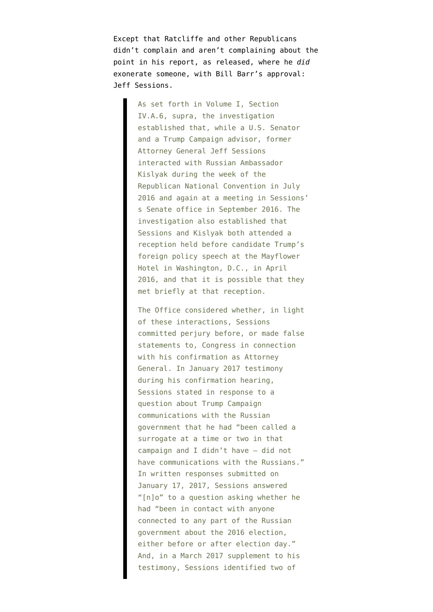Except that Ratcliffe and other Republicans didn't complain and aren't complaining about the point in his report, [as released,](https://assets.documentcloud.org/documents/6002293/190322-Redacted-Mueller-Report.pdf) where he *did* exonerate someone, with Bill Barr's approval: Jeff Sessions.

> As set forth in Volume I, Section IV.A.6, supra, the investigation established that, while a U.S. Senator and a Trump Campaign advisor, former Attorney General Jeff Sessions interacted with Russian Ambassador Kislyak during the week of the Republican National Convention in July 2016 and again at a meeting in Sessions' s Senate office in September 2016. The investigation also established that Sessions and Kislyak both attended a reception held before candidate Trump's foreign policy speech at the Mayflower Hotel in Washington, D.C., in April 2016, and that it is possible that they met briefly at that reception.

The Office considered whether, in light of these interactions, Sessions committed perjury before, or made false statements to, Congress in connection with his confirmation as Attorney General. In January 2017 testimony during his confirmation hearing, Sessions stated in response to a question about Trump Campaign communications with the Russian government that he had "been called a surrogate at a time or two in that campaign and I didn't have – did not have communications with the Russians." In written responses submitted on January 17, 2017, Sessions answered "[n]o" to a question asking whether he had "been in contact with anyone connected to any part of the Russian government about the 2016 election, either before or after election day." And, in a March 2017 supplement to his testimony, Sessions identified two of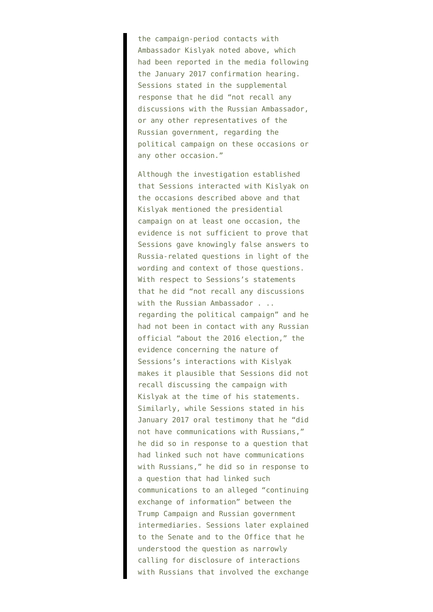the campaign-period contacts with Ambassador Kislyak noted above, which had been reported in the media following the January 2017 confirmation hearing. Sessions stated in the supplemental response that he did "not recall any discussions with the Russian Ambassador, or any other representatives of the Russian government, regarding the political campaign on these occasions or any other occasion."

Although the investigation established that Sessions interacted with Kislyak on the occasions described above and that Kislyak mentioned the presidential campaign on at least one occasion, the evidence is not sufficient to prove that Sessions gave knowingly false answers to Russia-related questions in light of the wording and context of those questions. With respect to Sessions's statements that he did "not recall any discussions with the Russian Ambassador . .. regarding the political campaign" and he had not been in contact with any Russian official "about the 2016 election," the evidence concerning the nature of Sessions's interactions with Kislyak makes it plausible that Sessions did not recall discussing the campaign with Kislyak at the time of his statements. Similarly, while Sessions stated in his January 2017 oral testimony that he "did not have communications with Russians," he did so in response to a question that had linked such not have communications with Russians," he did so in response to a question that had linked such communications to an alleged "continuing exchange of information" between the Trump Campaign and Russian government intermediaries. Sessions later explained to the Senate and to the Office that he understood the question as narrowly calling for disclosure of interactions with Russians that involved the exchange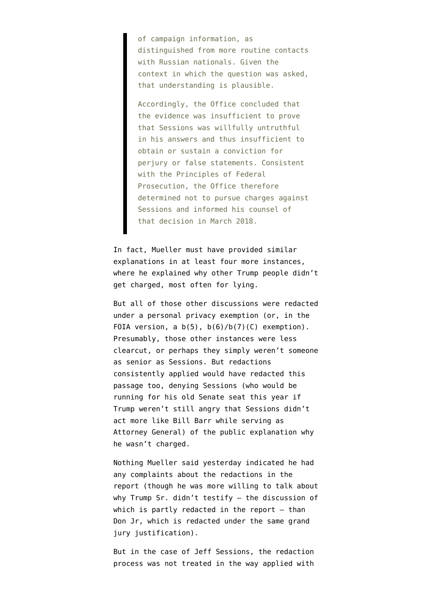of campaign information, as distinguished from more routine contacts with Russian nationals. Given the context in which the question was asked, that understanding is plausible.

Accordingly, the Office concluded that the evidence was insufficient to prove that Sessions was willfully untruthful in his answers and thus insufficient to obtain or sustain a conviction for perjury or false statements. Consistent with the Principles of Federal Prosecution, the Office therefore determined not to pursue charges against Sessions and informed his counsel of that decision in March 2018.

In fact, Mueller must have provided similar explanations in at least four more instances, where he explained why other Trump people didn't get charged, most often for lying.

But all of those other discussions were redacted under a personal privacy exemption (or, in the FOIA version, a  $b(5)$ ,  $b(6)/b(7)$  (C) exemption). Presumably, those other instances were less clearcut, or perhaps they simply weren't someone as senior as Sessions. But redactions consistently applied would have redacted this passage too, denying Sessions (who would be running for his old Senate seat this year if Trump weren't still angry that Sessions didn't act more like Bill Barr while serving as Attorney General) of the public explanation why he wasn't charged.

Nothing Mueller said yesterday indicated he had any complaints about the redactions in the report (though he was more willing to talk about why Trump Sr. didn't testify — [the discussion of](https://www.emptywheel.net/2019/04/19/the-trump-men-and-the-grand-jury-redactions/) [which is partly redacted in the report](https://www.emptywheel.net/2019/04/19/the-trump-men-and-the-grand-jury-redactions/)  $-$  than Don Jr, which is redacted under the same grand jury justification).

But in the case of Jeff Sessions, the redaction process was not treated in the way applied with